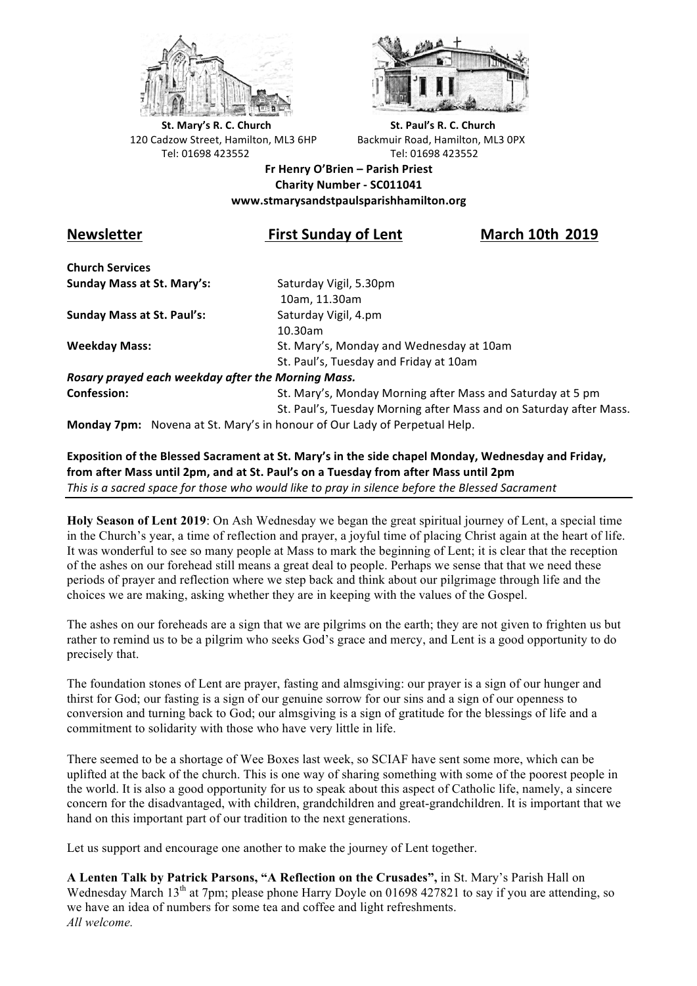



**St.** Mary's R. C. Church St. Paul's R. C. Church 120 Cadzow Street, Hamilton, ML3 6HP Backmuir Road, Hamilton, ML3 0PX Tel: 01698 423552 Tel: 01698 423552

### **Fr Henry O'Brien – Parish Priest Charity Number - SC011041 www.stmarysandstpaulsparishhamilton.org**

# Newsletter *COMP* **<b>Example 10th** First Sunday of Lent *COMP* March 10th 2019

**Church Services Sunday Mass at St. Mary's:** Saturday Vigil, 5.30pm

**Sunday Mass at St. Paul's:** Saturday Vigil, 4.pm

 10am, 11.30am 10.30am **Weekday Mass:** St. Mary's, Monday and Wednesday at 10am St. Paul's, Tuesday and Friday at 10am

*Rosary prayed each weekday after the Morning Mass.* **Confession:** St. Mary's, Monday Morning after Mass and Saturday at 5 pm

St. Paul's, Tuesday Morning after Mass and on Saturday after Mass.

**Monday 7pm:** Novena at St. Mary's in honour of Our Lady of Perpetual Help.

## Exposition of the Blessed Sacrament at St. Mary's in the side chapel Monday, Wednesday and Friday, from after Mass until 2pm, and at St. Paul's on a Tuesday from after Mass until 2pm This is a sacred space for those who would like to pray in silence before the Blessed Sacrament

**Holy Season of Lent 2019**: On Ash Wednesday we began the great spiritual journey of Lent, a special time in the Church's year, a time of reflection and prayer, a joyful time of placing Christ again at the heart of life. It was wonderful to see so many people at Mass to mark the beginning of Lent; it is clear that the reception of the ashes on our forehead still means a great deal to people. Perhaps we sense that that we need these periods of prayer and reflection where we step back and think about our pilgrimage through life and the choices we are making, asking whether they are in keeping with the values of the Gospel.

The ashes on our foreheads are a sign that we are pilgrims on the earth; they are not given to frighten us but rather to remind us to be a pilgrim who seeks God's grace and mercy, and Lent is a good opportunity to do precisely that.

The foundation stones of Lent are prayer, fasting and almsgiving: our prayer is a sign of our hunger and thirst for God; our fasting is a sign of our genuine sorrow for our sins and a sign of our openness to conversion and turning back to God; our almsgiving is a sign of gratitude for the blessings of life and a commitment to solidarity with those who have very little in life.

There seemed to be a shortage of Wee Boxes last week, so SCIAF have sent some more, which can be uplifted at the back of the church. This is one way of sharing something with some of the poorest people in the world. It is also a good opportunity for us to speak about this aspect of Catholic life, namely, a sincere concern for the disadvantaged, with children, grandchildren and great-grandchildren. It is important that we hand on this important part of our tradition to the next generations.

Let us support and encourage one another to make the journey of Lent together.

**A Lenten Talk by Patrick Parsons, "A Reflection on the Crusades",** in St. Mary's Parish Hall on Wednesday March 13<sup>th</sup> at 7pm; please phone Harry Doyle on 01698 427821 to say if you are attending, so we have an idea of numbers for some tea and coffee and light refreshments. *All welcome.*